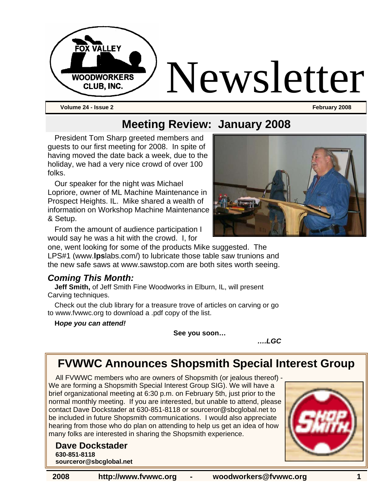

**Volume 24 - Issue 2 February 2008** 

### **Meeting Review: January 2008**

President Tom Sharp greeted members and guests to our first meeting for 2008. In spite of having moved the date back a week, due to the holiday, we had a very nice crowd of over 100 folks.

Our speaker for the night was Michael Lopriore, owner of ML Machine Maintenance in Prospect Heights. IL. Mike shared a wealth of information on Workshop Machine Maintenance & Setup.

From the amount of audience participation I would say he was a hit with the crowd. I, for



one, went looking for some of the products Mike suggested. The LPS#1 (www.**lps**labs.com/) to lubricate those table saw trunions and the new safe saws at www.sawstop.com are both sites worth seeing.

### *Coming This Month:*

**Jeff Smith,** of Jeff Smith Fine Woodworks in Elburn, IL, will present Carving techniques.

Check out the club library for a treasure trove of articles on carving or go to www.fvwwc.org to download a .pdf copy of the list.

**H***ope you can attend!* 

**See you soon…** 

*….LGC* 

### **FVWWC Announces Shopsmith Special Interest Group**

All FVWWC members who are owners of Shopsmith (or jealous thereof) - We are forming a Shopsmith Special Interest Group SIG). We will have a brief organizational meeting at 6:30 p.m. on February 5th, just prior to the normal monthly meeting. If you are interested, but unable to attend, please contact Dave Dockstader at 630-851-8118 or sourceror@sbcglobal.net to be included in future Shopsmith communications. I would also appreciate hearing from those who do plan on attending to help us get an idea of how many folks are interested in sharing the Shopsmith experience.

#### **Dave Dockstader 630-851-8118**

**sourceror@sbcglobal.net**

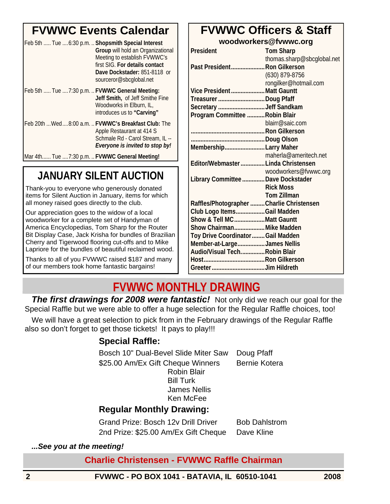## **FVWWC Events Calendar**

| Feb 5th  Tue  6:30 p.m.  Shopsmith Special Interest | Group will hold an Organizational<br>Meeting to establish FVWWC's<br>first SIG. For details contact<br>Dave Dockstader: 851-8118 or<br>sourceror@sbcglobal.net |
|-----------------------------------------------------|----------------------------------------------------------------------------------------------------------------------------------------------------------------|
| Feb 5th  Tue 7:30 p.m.  FVWWC General Meeting:      | Jeff Smith, of Jeff Smithe Fine<br>Woodworks in Elburn, IL,<br>introduces us to "Carving"                                                                      |
|                                                     | Feb 20th  Wed  8:00 a.m.  FVWWC's Breakfast Club: The<br>Apple Restaurant at 414 S<br>Schmale Rd - Carol Stream, IL --<br>Everyone is invited to stop by!      |
| Mar 4th Tue 7:30 p.m.  FVWWC General Meeting!       |                                                                                                                                                                |

## **JANUARY SILENT AUCTION**

Thank-you to everyone who generously donated items for Silent Auction in January, items for which all money raised goes directly to the club.

Our appreciation goes to the widow of a local woodworker for a complete set of Handyman of America Encyclopedias, Tom Sharp for the Router Bit Display Case, Jack Krisha for bundles of Brazilian Cherry and Tigerwood flooring cut-offs and to Mike Lapriore for the bundles of beautiful reclaimed wood.

Thanks to all of you FVWWC raised \$187 and many of our members took home fantastic bargains!

### **FVWWC Officers & Staff woodworkers@fvwwc.org**

| <b>President</b>                          | <b>Tom Sharp</b>           |
|-------------------------------------------|----------------------------|
|                                           | thomas.sharp@sbcglobal.net |
| Past President Ron Gilkerson              |                            |
|                                           | $(630)$ 879-8756           |
|                                           | rongilker@hotmail.com      |
| Vice PresidentMatt Gauntt                 |                            |
| TreasurerDoug Pfaff                       |                            |
| Secretary Jeff Sandkam                    |                            |
| Program Committee  Robin Blair            |                            |
|                                           | blairr@saic.com            |
|                                           |                            |
| Doug Olson                                |                            |
| MembershipLarry Maher                     |                            |
|                                           | maherla@ameritech.net      |
| Editor/Webmaster  Linda Christensen       |                            |
|                                           | woodworkers@fvwwc.org      |
| Library Committee  Dave Dockstader        |                            |
|                                           | <b>Rick Moss</b>           |
|                                           | <b>Tom Zillman</b>         |
| Raffles/Photographer  Charlie Christensen |                            |
| Club Logo ItemsGail Madden                |                            |
| Show & Tell MCMatt Gauntt                 |                            |
| Show Chairman Mike Madden                 |                            |
| Toy Drive Coordinator  Gail Madden        |                            |
| Member-at-LargeJames Nellis               |                            |
| Audio/Visual TechRobin Blair              |                            |
|                                           |                            |
|                                           |                            |

## **FVWWC MONTHLY DRAWING**

**The first drawings for 2008 were fantastic!** Not only did we reach our goal for the Special Raffle but we were able to offer a huge selection for the Regular Raffle choices, too!

We will have a great selection to pick from in the February drawings of the Regular Raffle also so don't forget to get those tickets! It pays to play!!!

### **Special Raffle:**

Bosch 10" Dual-Bevel Slide Miter Saw Doug Pfaff \$25.00 Am/Ex Gift Cheque Winners Bernie Kotera Robin Blair Bill Turk

 James Nellis Ken McFee

### **Regular Monthly Drawing:**

Grand Prize: Bosch 12v Drill Driver Bob Dahlstrom 2nd Prize: \$25.00 Am/Ex Gift Cheque Dave Kline

### *...See you at the meeting!*

### **Charlie Christensen - FVWWC Raffle Chairman**

**2 FVWWC - PO BOX 1041 - BATAVIA, IL 60510-1041 2008**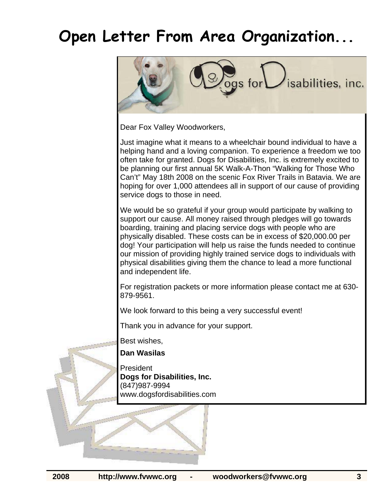## **Open Letter From Area Organization...**



Dear Fox Valley Woodworkers,

Just imagine what it means to a wheelchair bound individual to have a helping hand and a loving companion. To experience a freedom we too often take for granted. Dogs for Disabilities, Inc. is extremely excited to be planning our first annual 5K Walk-A-Thon "Walking for Those Who Can't" May 18th 2008 on the scenic Fox River Trails in Batavia. We are hoping for over 1,000 attendees all in support of our cause of providing service dogs to those in need.

We would be so grateful if your group would participate by walking to support our cause. All money raised through pledges will go towards boarding, training and placing service dogs with people who are physically disabled. These costs can be in excess of \$20,000.00 per dog! Your participation will help us raise the funds needed to continue our mission of providing highly trained service dogs to individuals with physical disabilities giving them the chance to lead a more functional and independent life.

For registration packets or more information please contact me at 630- 879-9561.

We look forward to this being a very successful event!

Thank you in advance for your support.

Best wishes,

#### **Dan Wasilas**

President **Dogs for Disabilities, Inc.**  (847)987-9994 www.dogsfordisabilities.com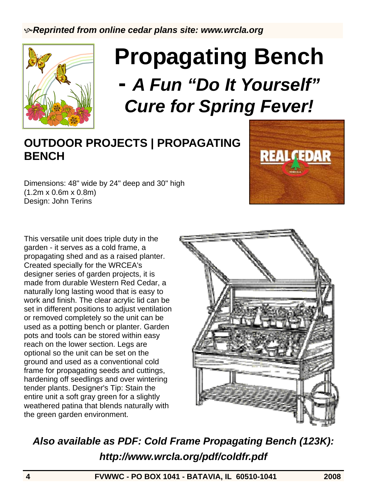

# **Propagating Bench -** *A Fun "Do It Yourself" Cure for Spring Fever!*

## **OUTDOOR PROJECTS | PROPAGATING BENCH**

Dimensions: 48" wide by 24" deep and 30" high (1.2m x 0.6m x 0.8m) Design: John Terins



This versatile unit does triple duty in the garden - it serves as a cold frame, a propagating shed and as a raised planter. Created specially for the WRCEA's designer series of garden projects, it is made from durable Western Red Cedar, a naturally long lasting wood that is easy to work and finish. The clear acrylic lid can be set in different positions to adjust ventilation or removed completely so the unit can be used as a potting bench or planter. Garden pots and tools can be stored within easy reach on the lower section. Legs are optional so the unit can be set on the ground and used as a conventional cold frame for propagating seeds and cuttings, hardening off seedlings and over wintering tender plants. Designer's Tip: Stain the entire unit a soft gray green for a slightly weathered patina that blends naturally with the green garden environment.



*Also available as PDF: Cold Frame Propagating Bench (123K): http://www.wrcla.org/pdf/coldfr.pdf*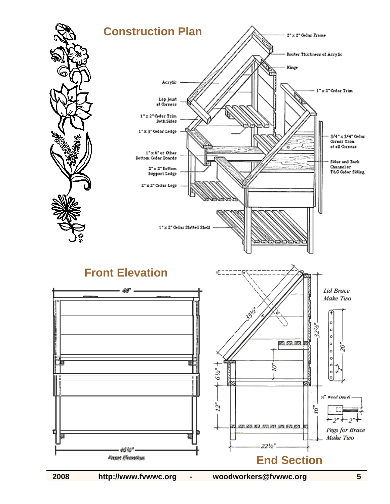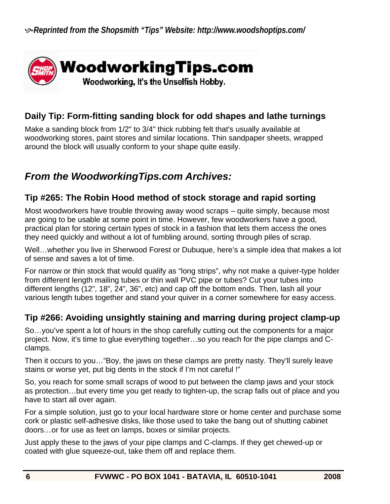

### **Daily Tip: Form-fitting sanding block for odd shapes and lathe turnings**

Make a sanding block from 1/2" to 3/4" thick rubbing felt that's usually available at woodworking stores, paint stores and similar locations. Thin sandpaper sheets, wrapped around the block will usually conform to your shape quite easily.

### *From the WoodworkingTips.com Archives:*

### **Tip #265: The Robin Hood method of stock storage and rapid sorting**

Most woodworkers have trouble throwing away wood scraps – quite simply, because most are going to be usable at some point in time. However, few woodworkers have a good, practical plan for storing certain types of stock in a fashion that lets them access the ones they need quickly and without a lot of fumbling around, sorting through piles of scrap.

Well…whether you live in Sherwood Forest or Dubuque, here's a simple idea that makes a lot of sense and saves a lot of time.

For narrow or thin stock that would qualify as "long strips", why not make a quiver-type holder from different length mailing tubes or thin wall PVC pipe or tubes? Cut your tubes into different lengths (12", 18", 24", 36", etc) and cap off the bottom ends. Then, lash all your various length tubes together and stand your quiver in a corner somewhere for easy access.

### **Tip #266: Avoiding unsightly staining and marring during project clamp-up**

So…you've spent a lot of hours in the shop carefully cutting out the components for a major project. Now, it's time to glue everything together…so you reach for the pipe clamps and Cclamps.

Then it occurs to you…"Boy, the jaws on these clamps are pretty nasty. They'll surely leave stains or worse yet, put big dents in the stock if I'm not careful !"

So, you reach for some small scraps of wood to put between the clamp jaws and your stock as protection…but every time you get ready to tighten-up, the scrap falls out of place and you have to start all over again.

For a simple solution, just go to your local hardware store or home center and purchase some cork or plastic self-adhesive disks, like those used to take the bang out of shutting cabinet doors…or for use as feet on lamps, boxes or similar projects.

Just apply these to the jaws of your pipe clamps and C-clamps. If they get chewed-up or coated with glue squeeze-out, take them off and replace them.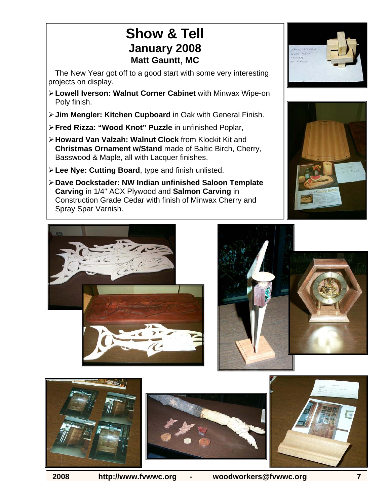## **Show & Tell January 2008 Matt Gauntt, MC**

The New Year got off to a good start with some very interesting projects on display.

- ¾ **Lowell Iverson: Walnut Corner Cabinet** with Minwax Wipe-on Poly finish.
- ¾ **Jim Mengler: Kitchen Cupboard** in Oak with General Finish.
- ¾ **Fred Rizza: "Wood Knot" Puzzle** in unfinished Poplar,
- ¾ **Howard Van Valzah: Walnut Clock** from Klockit Kit and **Christmas Ornament w/Stand** made of Baltic Birch, Cherry, Basswood & Maple, all with Lacquer finishes.
- ¾ **Lee Nye: Cutting Board**, type and finish unlisted.
- ¾ **Dave Dockstader: NW Indian unfinished Saloon Template Carving** in 1/4" ACX Plywood and **Salmon Carving** in Construction Grade Cedar with finish of Minwax Cherry and Spray Spar Varnish.